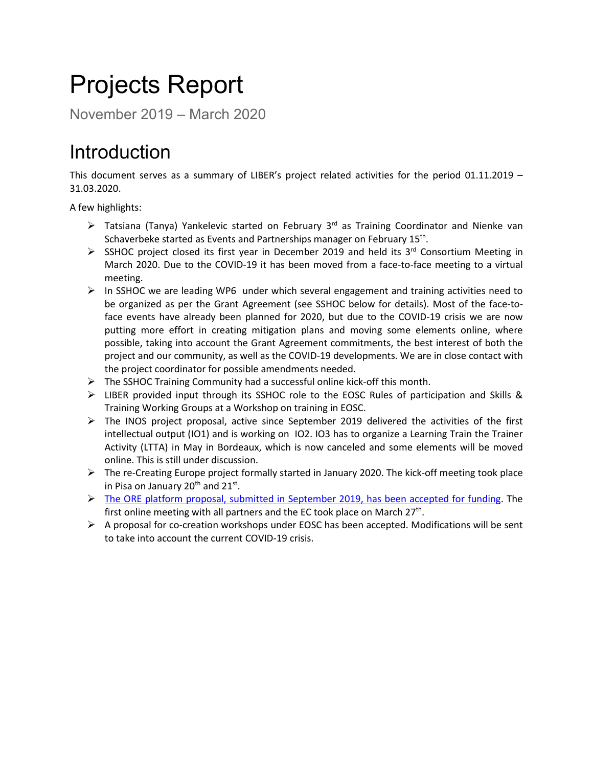# Projects Report

November 2019 – March 2020

## Introduction

This document serves as a summary of LIBER's project related activities for the period 01.11.2019 – 31.03.2020.

A few highlights:

- $\triangleright$  Tatsiana (Tanya) Yankelevic started on February 3<sup>rd</sup> as Training Coordinator and Nienke van Schaverbeke started as Events and Partnerships manager on February 15<sup>th</sup>.
- $\triangleright$  SSHOC project closed its first year in December 2019 and held its 3<sup>rd</sup> Consortium Meeting in March 2020. Due to the COVID-19 it has been moved from a face-to-face meeting to a virtual meeting.
- $\triangleright$  In SSHOC we are leading WP6 under which several engagement and training activities need to be organized as per the Grant Agreement (see SSHOC below for details). Most of the face-toface events have already been planned for 2020, but due to the COVID-19 crisis we are now putting more effort in creating mitigation plans and moving some elements online, where possible, taking into account the Grant Agreement commitments, the best interest of both the project and our community, as well as the COVID-19 developments. We are in close contact with the project coordinator for possible amendments needed.
- $\triangleright$  The SSHOC Training Community had a successful online kick-off this month.
- $\triangleright$  LIBER provided input through its SSHOC role to the EOSC Rules of participation and Skills & Training Working Groups at a Workshop on training in EOSC.
- $\triangleright$  The INOS project proposal, active since September 2019 delivered the activities of the first intellectual output (IO1) and is working on IO2. IO3 has to organize a Learning Train the Trainer Activity (LTTA) in May in Bordeaux, which is now canceled and some elements will be moved online. This is still under discussion.
- $\triangleright$  The re-Creating Europe project formally started in January 2020. The kick-off meeting took place in Pisa on January  $20^{th}$  and  $21^{st}$ .
- $\triangleright$  The [ORE platform proposal, submitted in September 2019, has been accepted for funding.](https://libereurope.eu/blog/2020/03/25/liber-wins-role-in-open-access-publishing-platform/) The first online meeting with all partners and the EC took place on March  $27<sup>th</sup>$ .
- $\triangleright$  A proposal for co-creation workshops under EOSC has been accepted. Modifications will be sent to take into account the current COVID-19 crisis.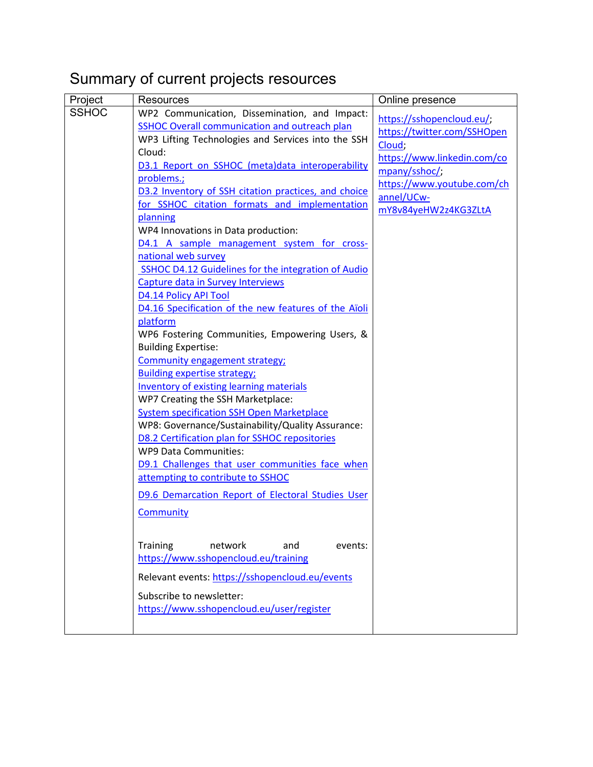### Summary of current projects resources

| Project      | <b>Resources</b>                                                                     | Online presence             |
|--------------|--------------------------------------------------------------------------------------|-----------------------------|
| <b>SSHOC</b> | WP2 Communication, Dissemination, and Impact:                                        | https://sshopencloud.eu/;   |
|              | SSHOC Overall communication and outreach plan                                        | https://twitter.com/SSHOpen |
|              | WP3 Lifting Technologies and Services into the SSH                                   | Cloud;                      |
|              | Cloud:                                                                               | https://www.linkedin.com/co |
|              | D3.1 Report on SSHOC (meta)data interoperability                                     | mpany/sshoc/;               |
|              | problems.;                                                                           | https://www.youtube.com/ch  |
|              | D3.2 Inventory of SSH citation practices, and choice                                 | annel/UCw-                  |
|              | for SSHOC citation formats and implementation                                        | mY8v84yeHW2z4KG3ZLtA        |
|              | planning                                                                             |                             |
|              | WP4 Innovations in Data production:                                                  |                             |
|              | D4.1 A sample management system for cross-                                           |                             |
|              | national web survey                                                                  |                             |
|              | SSHOC D4.12 Guidelines for the integration of Audio                                  |                             |
|              | Capture data in Survey Interviews                                                    |                             |
|              | D4.14 Policy API Tool                                                                |                             |
|              | D4.16 Specification of the new features of the Aïoli                                 |                             |
|              | platform                                                                             |                             |
|              | WP6 Fostering Communities, Empowering Users, &                                       |                             |
|              | <b>Building Expertise:</b>                                                           |                             |
|              | Community engagement strategy;                                                       |                             |
|              | <b>Building expertise strategy;</b>                                                  |                             |
|              | <b>Inventory of existing learning materials</b><br>WP7 Creating the SSH Marketplace: |                             |
|              | <b>System specification SSH Open Marketplace</b>                                     |                             |
|              | WP8: Governance/Sustainability/Quality Assurance:                                    |                             |
|              | D8.2 Certification plan for SSHOC repositories                                       |                             |
|              | WP9 Data Communities:                                                                |                             |
|              | D9.1 Challenges that user communities face when                                      |                             |
|              | attempting to contribute to SSHOC                                                    |                             |
|              |                                                                                      |                             |
|              | D9.6 Demarcation Report of Electoral Studies User                                    |                             |
|              | Community                                                                            |                             |
|              |                                                                                      |                             |
|              | <b>Training</b><br>network<br>and<br>events:                                         |                             |
|              | https://www.sshopencloud.eu/training                                                 |                             |
|              |                                                                                      |                             |
|              | Relevant events: https://sshopencloud.eu/events                                      |                             |
|              | Subscribe to newsletter:                                                             |                             |
|              | https://www.sshopencloud.eu/user/register                                            |                             |
|              |                                                                                      |                             |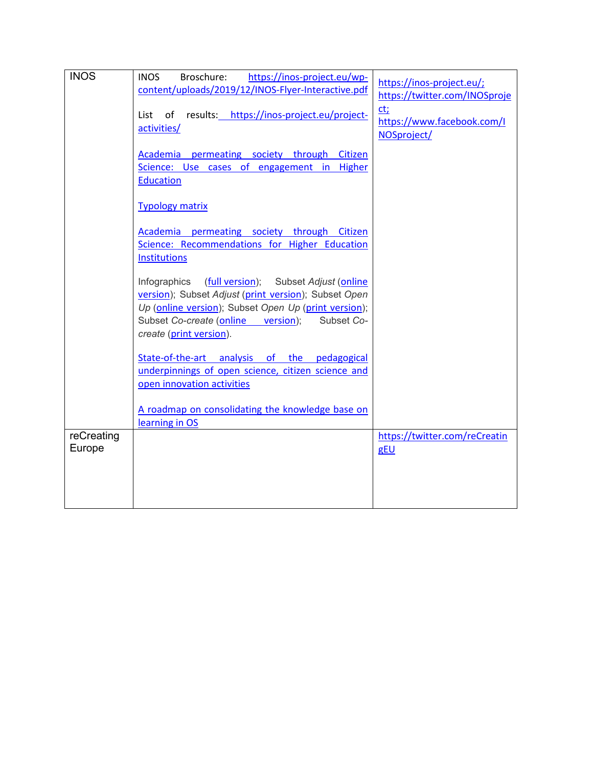| <b>INOS</b>          | https://inos-project.eu/wp-<br><b>INOS</b><br>Broschure:<br>content/uploads/2019/12/INOS-Flyer-Interactive.pdf                                                                                                                                       | https://inos-project.eu/;<br>https://twitter.com/INOSproje |
|----------------------|------------------------------------------------------------------------------------------------------------------------------------------------------------------------------------------------------------------------------------------------------|------------------------------------------------------------|
|                      | of results: https://inos-project.eu/project-<br>List<br>activities/                                                                                                                                                                                  | ct;<br>https://www.facebook.com/I<br>NOSproject/           |
|                      | Academia permeating society through Citizen<br>Science: Use cases of engagement in Higher<br><b>Education</b>                                                                                                                                        |                                                            |
|                      | <b>Typology matrix</b>                                                                                                                                                                                                                               |                                                            |
|                      | Academia permeating society through Citizen<br>Science: Recommendations for Higher Education<br><b>Institutions</b>                                                                                                                                  |                                                            |
|                      | (full version); Subset Adjust (online<br>Infographics<br>version); Subset Adjust (print version); Subset Open<br>Up (online version); Subset Open Up (print version);<br>Subset Co-create (online version);<br>Subset Co-<br>create (print version). |                                                            |
|                      | State-of-the-art analysis of the pedagogical<br>underpinnings of open science, citizen science and<br>open innovation activities                                                                                                                     |                                                            |
|                      | A roadmap on consolidating the knowledge base on<br>learning in OS                                                                                                                                                                                   |                                                            |
| reCreating<br>Europe |                                                                                                                                                                                                                                                      | https://twitter.com/reCreatin<br>gEU                       |
|                      |                                                                                                                                                                                                                                                      |                                                            |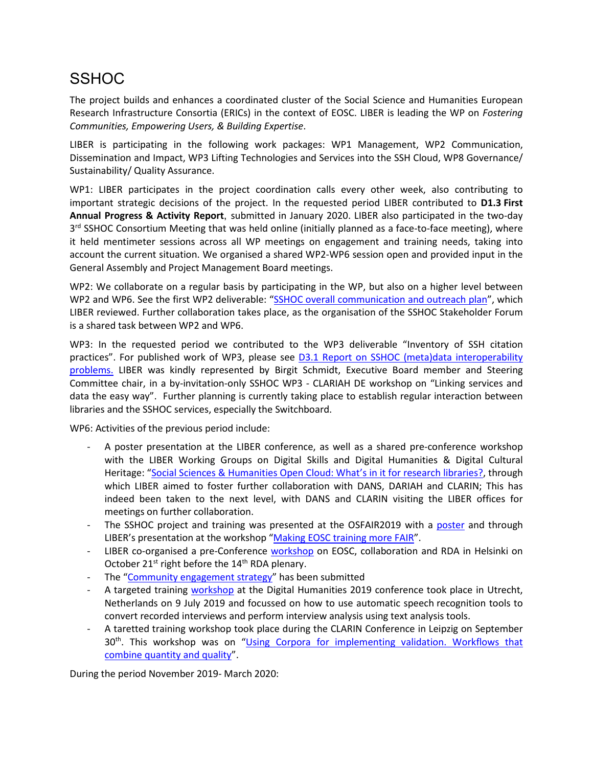### **SSHOC**

The project builds and enhances a coordinated cluster of the Social Science and Humanities European Research Infrastructure Consortia (ERICs) in the context of EOSC. LIBER is leading the WP on *Fostering Communities, Empowering Users, & Building Expertise*.

LIBER is participating in the following work packages: WP1 Management, WP2 Communication, Dissemination and Impact, WP3 Lifting Technologies and Services into the SSH Cloud, WP8 Governance/ Sustainability/ Quality Assurance.

WP1: LIBER participates in the project coordination calls every other week, also contributing to important strategic decisions of the project. In the requested period LIBER contributed to **D1.3 First Annual Progress & Activity Report**, submitted in January 2020. LIBER also participated in the two-day 3<sup>rd</sup> SSHOC Consortium Meeting that was held online (initially planned as a face-to-face meeting), where it held mentimeter sessions across all WP meetings on engagement and training needs, taking into account the current situation. We organised a shared WP2-WP6 session open and provided input in the General Assembly and Project Management Board meetings.

WP2: We collaborate on a regular basis by participating in the WP, but also on a higher level between WP2 and WP6. See the first WP2 deliverable: ["SSHOC overall communication and outreach plan"](https://sshopencloud.eu/d21-sshoc-overall-communication-and-outreach-plan), which LIBER reviewed. Further collaboration takes place, as the organisation of the SSHOC Stakeholder Forum is a shared task between WP2 and WP6.

WP3: In the requested period we contributed to the WP3 deliverable "Inventory of SSH citation practices". For published work of WP3, please see [D3.1 Report on SSHOC \(meta\)data interoperability](https://sshopencloud.eu/d31-sshoc-report-sshoc-data-interoperability-problems)  [problems.](https://sshopencloud.eu/d31-sshoc-report-sshoc-data-interoperability-problems) LIBER was kindly represented by Birgit Schmidt, Executive Board member and Steering Committee chair, in a by-invitation-only SSHOC WP3 - CLARIAH DE workshop on "Linking services and data the easy way". Further planning is currently taking place to establish regular interaction between libraries and the SSHOC services, especially the Switchboard.

WP6: Activities of the previous period include:

- A poster presentation at the LIBER conference, as well as a shared pre-conference workshop with the LIBER Working Groups on Digital Skills and Digital Humanities & Digital Cultural Heritage: ["Social Sciences & Humanities Open Cloud: What's in it for research libraries?,](https://liberconference.eu/programme/workshops/social-sciences-humanities-open-cloud/) through which LIBER aimed to foster further collaboration with DANS, DARIAH and CLARIN; This has indeed been taken to the next level, with DANS and CLARIN visiting the LIBER offices for meetings on further collaboration.
- The SSHOC project and training was presented at the OSFAIR2019 with a [poster](https://www.opensciencefair.eu/posters-2019/social-sciences-and-humanities-community-building-on-training) and through LIBER's presentation at the workshop ["Making EOSC training more FAIR"](https://www.opensciencefair.eu/workshops-2019/making-eosc-training-more-fair).
- LIBER co-organised a pre-Conference [workshop](https://www.sshopencloud.eu/eosc-services-collaborations-and-rda) on EOSC, collaboration and RDA in Helsinki on October 21<sup>st</sup> right before the 14<sup>th</sup> RDA plenary.
- The ["Community engagement strategy"](https://www.sshopencloud.eu/sites/default/files/D6.1_SSHOC_Community%20Engagement%20Strategy.pdf) has been submitted
- A targeted training [workshop](https://www.eventbrite.co.uk/e/dh2019-workshop-the-case-of-interview-data-tickets-59161515686) at the Digital Humanities 2019 conference took place in Utrecht, Netherlands on 9 July 2019 and focussed on how to use automatic speech recognition tools to convert recorded interviews and perform interview analysis using text analysis tools.
- A taretted training workshop took place during the CLARIN Conference in Leipzig on September 30<sup>th</sup>. This workshop was on "Using Corpora for implementing validation. Workflows that [combine quantity and quality"](https://sshopencloud.eu/sshoc-workshop-using-corpora-implementing-validation-workflows-combine-quantity-and-quality).

During the period November 2019- March 2020: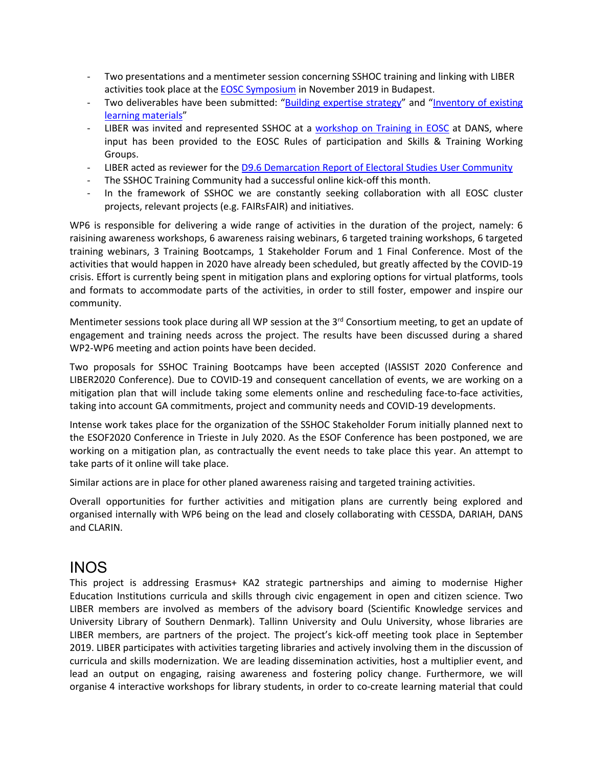- Two presentations and a mentimeter session concerning SSHOC training and linking with LIBER activities took place at the [EOSC Symposium](https://www.eoscsecretariat.eu/eosc-symposium-programme) in November 2019 in Budapest.
- Two deliverables have been submitted: ["Building expertise strategy"](https://zenodo.org/record/3595996#.XjfvgvlKipo) and "Inventory of existing [learning materials"](https://zenodo.org/record/3596003#.XjfvovlKipo)
- LIBER was invited and represented SSHOC at a [workshop on Training in](https://dans.knaw.nl/en/current/workshop-on-training-in-eosc) EOSC at DANS, where input has been provided to the EOSC Rules of participation and Skills & Training Working Groups.
- LIBER acted as reviewer for th[e D9.6 Demarcation Report of Electoral Studies User Community](https://sshopencloud.eu/d96-demarcation-report-electoral-studies-user-community)
- The SSHOC Training Community had a successful online kick-off this month.
- In the framework of SSHOC we are constantly seeking collaboration with all EOSC cluster projects, relevant projects (e.g. FAIRsFAIR) and initiatives.

WP6 is responsible for delivering a wide range of activities in the duration of the project, namely: 6 raisining awareness workshops, 6 awareness raising webinars, 6 targeted training workshops, 6 targeted training webinars, 3 Training Bootcamps, 1 Stakeholder Forum and 1 Final Conference. Most of the activities that would happen in 2020 have already been scheduled, but greatly affected by the COVID-19 crisis. Effort is currently being spent in mitigation plans and exploring options for virtual platforms, tools and formats to accommodate parts of the activities, in order to still foster, empower and inspire our community.

Mentimeter sessions took place during all WP session at the 3<sup>rd</sup> Consortium meeting, to get an update of engagement and training needs across the project. The results have been discussed during a shared WP2-WP6 meeting and action points have been decided.

Two proposals for SSHOC Training Bootcamps have been accepted (IASSIST 2020 Conference and LIBER2020 Conference). Due to COVID-19 and consequent cancellation of events, we are working on a mitigation plan that will include taking some elements online and rescheduling face-to-face activities, taking into account GA commitments, project and community needs and COVID-19 developments.

Intense work takes place for the organization of the SSHOC Stakeholder Forum initially planned next to the ESOF2020 Conference in Trieste in July 2020. As the ESOF Conference has been postponed, we are working on a mitigation plan, as contractually the event needs to take place this year. An attempt to take parts of it online will take place.

Similar actions are in place for other planed awareness raising and targeted training activities.

Overall opportunities for further activities and mitigation plans are currently being explored and organised internally with WP6 being on the lead and closely collaborating with CESSDA, DARIAH, DANS and CLARIN.

#### INOS

This project is addressing Erasmus+ KA2 strategic partnerships and aiming to modernise Higher Education Institutions curricula and skills through civic engagement in open and citizen science. Two LIBER members are involved as members of the advisory board (Scientific Knowledge services and University Library of Southern Denmark). Tallinn University and Oulu University, whose libraries are LIBER members, are partners of the project. The project's kick-off meeting took place in September 2019. LIBER participates with activities targeting libraries and actively involving them in the discussion of curricula and skills modernization. We are leading dissemination activities, host a multiplier event, and lead an output on engaging, raising awareness and fostering policy change. Furthermore, we will organise 4 interactive workshops for library students, in order to co-create learning material that could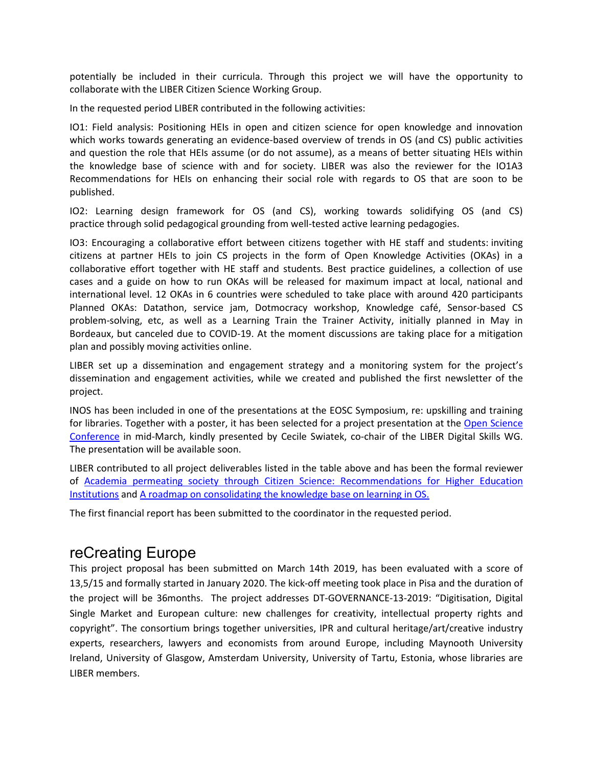potentially be included in their curricula. Through this project we will have the opportunity to collaborate with the LIBER Citizen Science Working Group.

In the requested period LIBER contributed in the following activities:

IO1: Field analysis: Positioning HEIs in open and citizen science for open knowledge and innovation which works towards generating an evidence-based overview of trends in OS (and CS) public activities and question the role that HEIs assume (or do not assume), as a means of better situating HEIs within the knowledge base of science with and for society. LIBER was also the reviewer for the IO1A3 Recommendations for HEIs on enhancing their social role with regards to OS that are soon to be published.

IO2: Learning design framework for OS (and CS), working towards solidifying OS (and CS) practice through solid pedagogical grounding from well-tested active learning pedagogies.

IO3: Encouraging a collaborative effort between citizens together with HE staff and students: inviting citizens at partner HEIs to join CS projects in the form of Open Knowledge Activities (OKAs) in a collaborative effort together with HE staff and students. Best practice guidelines, a collection of use cases and a guide on how to run OKAs will be released for maximum impact at local, national and international level. 12 OKAs in 6 countries were scheduled to take place with around 420 participants Planned OKAs: Datathon, service jam, Dotmocracy workshop, Knowledge café, Sensor-based CS problem-solving, etc, as well as a Learning Train the Trainer Activity, initially planned in May in Bordeaux, but canceled due to COVID-19. At the moment discussions are taking place for a mitigation plan and possibly moving activities online.

LIBER set up a dissemination and engagement strategy and a monitoring system for the project's dissemination and engagement activities, while we created and published the first newsletter of the project.

INOS has been included in one of the presentations at the EOSC Symposium, re: upskilling and training for libraries. Together with a poster, it has been selected for a project presentation at the Open Science [Conference](https://www.open-science-conference.eu/programme/) in mid-March, kindly presented by Cecile Swiatek, co-chair of the LIBER Digital Skills WG. The presentation will be available soon.

LIBER contributed to all project deliverables listed in the table above and has been the formal reviewer of [Academia permeating society through Citizen Science: Recommendations for Higher Education](https://inos-project.eu/wp-content/uploads/2020/02/INOS_O1A3Recommendations_v1.pdf)  [Institutions](https://inos-project.eu/wp-content/uploads/2020/02/INOS_O1A3Recommendations_v1.pdf) and [A roadmap on consolidating the knowledge base on learning in OS.](https://inos-project.eu/wp-content/uploads/2020/03/INOS_O2A2_Roadmap_V1.pdf)

The first financial report has been submitted to the coordinator in the requested period.

#### reCreating Europe

This project proposal has been submitted on March 14th 2019, has been evaluated with a score of 13,5/15 and formally started in January 2020. The kick-off meeting took place in Pisa and the duration of the project will be 36months. The project addresses DT-GOVERNANCE-13-2019: "Digitisation, Digital Single Market and European culture: new challenges for creativity, intellectual property rights and copyright". The consortium brings together universities, IPR and cultural heritage/art/creative industry experts, researchers, lawyers and economists from around Europe, including Maynooth University Ireland, University of Glasgow, Amsterdam University, University of Tartu, Estonia, whose libraries are LIBER members.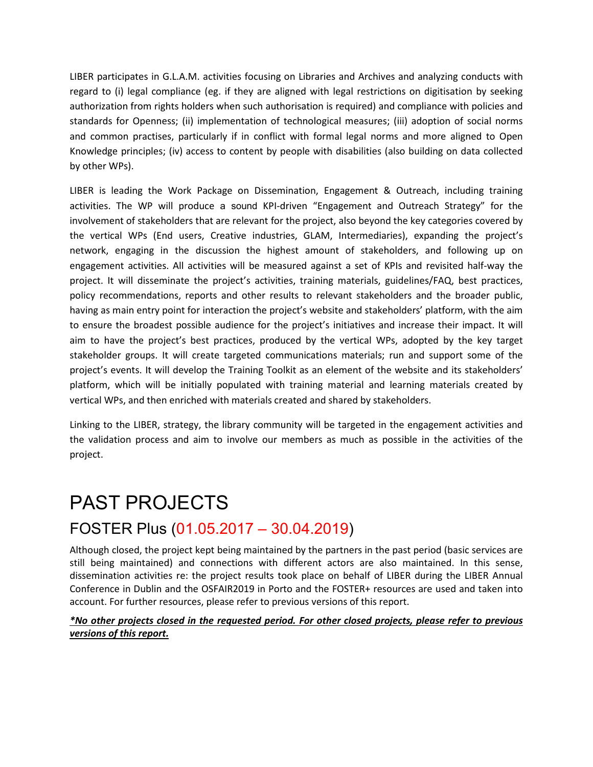LIBER participates in G.L.A.M. activities focusing on Libraries and Archives and analyzing conducts with regard to (i) legal compliance (eg. if they are aligned with legal restrictions on digitisation by seeking authorization from rights holders when such authorisation is required) and compliance with policies and standards for Openness; (ii) implementation of technological measures; (iii) adoption of social norms and common practises, particularly if in conflict with formal legal norms and more aligned to Open Knowledge principles; (iv) access to content by people with disabilities (also building on data collected by other WPs).

LIBER is leading the Work Package on Dissemination, Engagement & Outreach, including training activities. The WP will produce a sound KPI-driven "Engagement and Outreach Strategy" for the involvement of stakeholders that are relevant for the project, also beyond the key categories covered by the vertical WPs (End users, Creative industries, GLAM, Intermediaries), expanding the project's network, engaging in the discussion the highest amount of stakeholders, and following up on engagement activities. All activities will be measured against a set of KPIs and revisited half-way the project. It will disseminate the project's activities, training materials, guidelines/FAQ, best practices, policy recommendations, reports and other results to relevant stakeholders and the broader public, having as main entry point for interaction the project's website and stakeholders' platform, with the aim to ensure the broadest possible audience for the project's initiatives and increase their impact. It will aim to have the project's best practices, produced by the vertical WPs, adopted by the key target stakeholder groups. It will create targeted communications materials; run and support some of the project's events. It will develop the Training Toolkit as an element of the website and its stakeholders' platform, which will be initially populated with training material and learning materials created by vertical WPs, and then enriched with materials created and shared by stakeholders.

Linking to the LIBER, strategy, the library community will be targeted in the engagement activities and the validation process and aim to involve our members as much as possible in the activities of the project.

### PAST PROJECTS FOSTER Plus (01.05.2017 – 30.04.2019)

Although closed, the project kept being maintained by the partners in the past period (basic services are still being maintained) and connections with different actors are also maintained. In this sense, dissemination activities re: the project results took place on behalf of LIBER during the LIBER Annual Conference in Dublin and the OSFAIR2019 in Porto and the FOSTER+ resources are used and taken into account. For further resources, please refer to previous versions of this report.

#### *\*No other projects closed in the requested period. For other closed projects, please refer to previous versions of this report.*